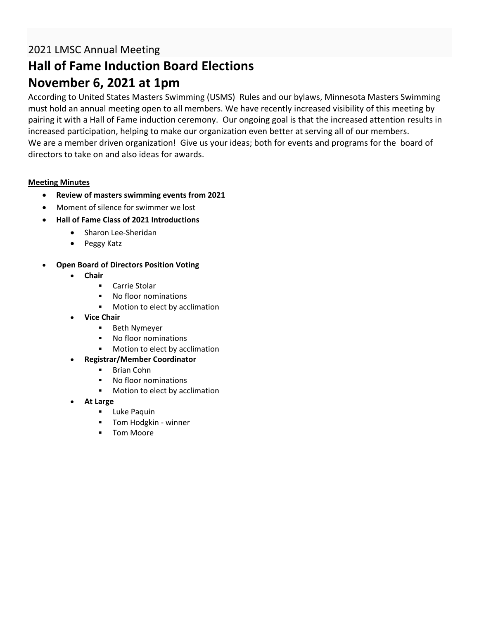### 2021 LMSC Annual Meeting

# **Hall of Fame Induction Board Elections November 6, 2021 at 1pm**

According to United States Masters Swimming (USMS) Rules and our bylaws, Minnesota Masters Swimming must hold an annual meeting open to all members. We have recently increased visibility of this meeting by pairing it with a Hall of Fame induction ceremony. Our ongoing goal is that the increased attention results in increased participation, helping to make our organization even better at serving all of our members. We are a member driven organization! Give us your ideas; both for events and programs for the board of directors to take on and also ideas for awards.

### **Meeting Minutes**

- **Review of masters swimming events from 2021**
- Moment of silence for swimmer we lost
- **Hall of Fame Class of 2021 Introductions**
	- Sharon Lee-Sheridan
	- Peggy Katz
- **Open Board of Directors Position Voting**
	- **Chair**
		- Carrie Stolar
		- No floor nominations
		- Motion to elect by acclimation
	- **Vice Chair**
		- Beth Nymeyer
		- No floor nominations
		- Motion to elect by acclimation
	- **Registrar/Member Coordinator**
		- Brian Cohn
		- No floor nominations
		- Motion to elect by acclimation
	- **At Large**
		- Luke Paquin
		- **•** Tom Hodgkin winner
		- Tom Moore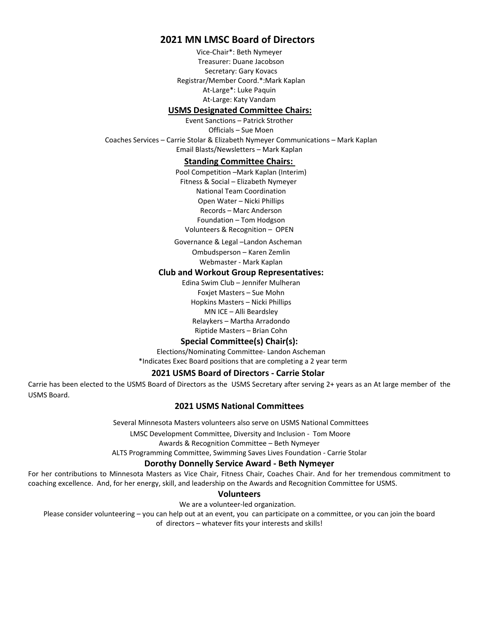### **2021 MN LMSC Board of Directors**

Vice-Chair\*: Beth Nymeyer Treasurer: Duane Jacobson Secretary: Gary Kovacs Registrar/Member Coord.\*:Mark Kaplan At-Large\*: Luke Paquin At-Large: Katy Vandam

#### **USMS Designated Committee Chairs:**

Event Sanctions – Patrick Strother Officials – Sue Moen Coaches Services – Carrie Stolar & Elizabeth Nymeyer Communications – Mark Kaplan Email Blasts/Newsletters – Mark Kaplan

#### **Standing Committee Chairs:**

Pool Competition –Mark Kaplan (Interim) Fitness & Social – Elizabeth Nymeyer National Team Coordination Open Water – Nicki Phillips Records – Marc Anderson Foundation – Tom Hodgson Volunteers & Recognition – OPEN

Governance & Legal –Landon Ascheman

Ombudsperson – Karen Zemlin Webmaster - Mark Kaplan

#### **Club and Workout Group Representatives:**

Edina Swim Club – Jennifer Mulheran Foxjet Masters – Sue Mohn Hopkins Masters – Nicki Phillips MN ICE – Alli Beardsley Relaykers – Martha Arradondo Riptide Masters – Brian Cohn

#### **Special Committee(s) Chair(s):**

Elections/Nominating Committee- Landon Ascheman \*Indicates Exec Board positions that are completing a 2 year term

#### **2021 USMS Board of Directors - Carrie Stolar**

Carrie has been elected to the USMS Board of Directors as the USMS Secretary after serving 2+ years as an At large member of the USMS Board.

#### **2021 USMS National Committees**

Several Minnesota Masters volunteers also serve on USMS National Committees

LMSC Development Committee, Diversity and Inclusion - Tom Moore

Awards & Recognition Committee – Beth Nymeyer

ALTS Programming Committee, Swimming Saves Lives Foundation - Carrie Stolar

#### **Dorothy Donnelly Service Award - Beth Nymeyer**

For her contributions to Minnesota Masters as Vice Chair, Fitness Chair, Coaches Chair. And for her tremendous commitment to coaching excellence. And, for her energy, skill, and leadership on the Awards and Recognition Committee for USMS.

#### **Volunteers**

We are a volunteer-led organization.

Please consider volunteering – you can help out at an event, you can participate on a committee, or you can join the board of directors – whatever fits your interests and skills!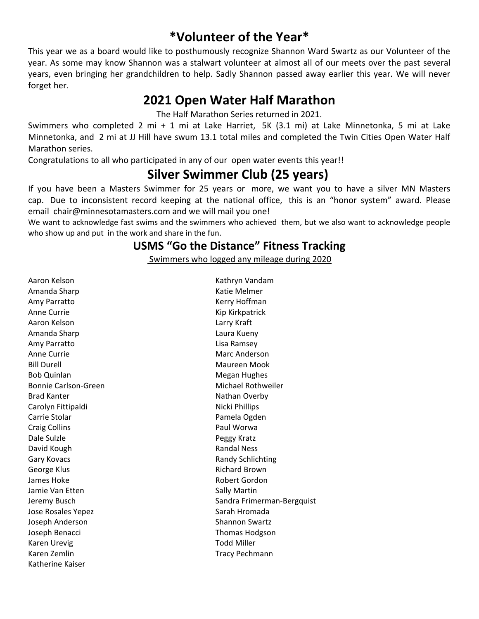## **\*Volunteer of the Year\***

This year we as a board would like to posthumously recognize Shannon Ward Swartz as our Volunteer of the year. As some may know Shannon was a stalwart volunteer at almost all of our meets over the past several years, even bringing her grandchildren to help. Sadly Shannon passed away earlier this year. We will never forget her.

## **2021 Open Water Half Marathon**

The Half Marathon Series returned in 2021.

Swimmers who completed 2 mi + 1 mi at Lake Harriet, 5K (3.1 mi) at Lake Minnetonka, 5 mi at Lake Minnetonka, and 2 mi at JJ Hill have swum 13.1 total miles and completed the Twin Cities Open Water Half Marathon series.

Congratulations to all who participated in any of our open water events this year!!

# **Silver Swimmer Club (25 years)**

If you have been a Masters Swimmer for 25 years or more, we want you to have a silver MN Masters cap. Due to inconsistent record keeping at the national office, this is an "honor system" award. Please email chair@minnesotamasters.com and we will mail you one!

We want to acknowledge fast swims and the swimmers who achieved them, but we also want to acknowledge people who show up and put in the work and share in the fun.

### **USMS "Go the Distance" Fitness Tracking**

Swimmers who logged any mileage during 2020

Aaron Kelson Amanda Sharp Amy Parratto Anne Currie Aaron Kelson Amanda Sharp Amy Parratto Anne Currie Bill Durell Bob Quinlan Bonnie Carlson-Green Brad Kanter Carolyn Fittipaldi Carrie Stolar Craig Collins Dale Sulzle David Kough Gary Kovacs George Klus James Hoke Jamie Van Etten Jeremy Busch Jose Rosales Yepez Joseph Anderson Joseph Benacci Karen Urevig Karen Zemlin Katherine Kaiser

Kathryn Vandam Katie Melmer Kerry Hoffman Kip Kirkpatrick Larry Kraft Laura Kueny Lisa Ramsey Marc Anderson Maureen Mook Megan Hughes Michael Rothweiler Nathan Overby Nicki Phillips Pamela Ogden Paul Worwa Peggy Kratz Randal Ness Randy Schlichting Richard Brown Robert Gordon Sally Martin Sandra Frimerman-Bergquist Sarah Hromada Shannon Swartz Thomas Hodgson Todd Miller Tracy Pechmann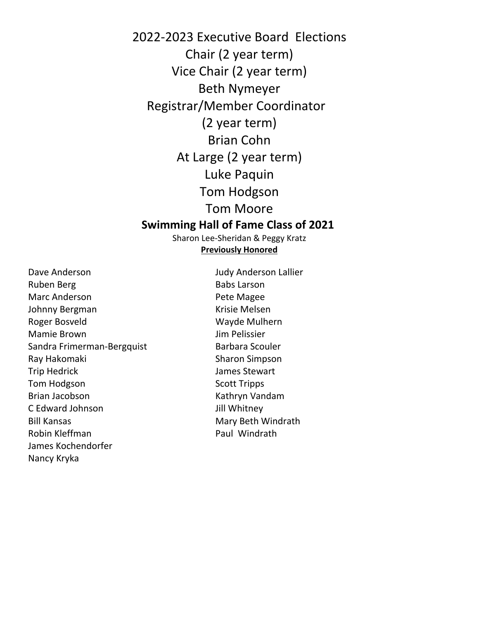2022-2023 Executive Board Elections Chair (2 year term) Vice Chair (2 year term) Beth Nymeyer Registrar/Member Coordinator (2 year term) Brian Cohn At Large (2 year term) Luke Paquin Tom Hodgson Tom Moore **Swimming Hall of Fame Class of 2021**

> Sharon Lee-Sheridan & Peggy Kratz **Previously Honored**

Dave Anderson Ruben Berg Marc Anderson Johnny Bergman Roger Bosveld Mamie Brown Sandra Frimerman-Bergquist Ray Hakomaki Trip Hedrick Tom Hodgson Brian Jacobson C Edward Johnson Bill Kansas Robin Kleffman James Kochendorfer Nancy Kryka

Judy Anderson Lallier Babs Larson Pete Magee Krisie Melsen Wayde Mulhern Jim Pelissier Barbara Scouler Sharon Simpson James Stewart Scott Tripps Kathryn Vandam Jill Whitney Mary Beth Windrath Paul Windrath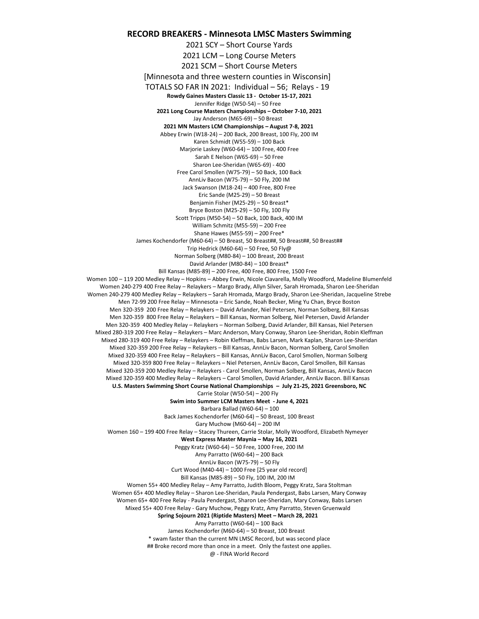#### **RECORD BREAKERS - Minnesota LMSC Masters Swimming**

2021 SCY – Short Course Yards 2021 LCM – Long Course Meters 2021 SCM – Short Course Meters [Minnesota and three western counties in Wisconsin] TOTALS SO FAR IN 2021: Individual – 56; Relays - 19 **Rowdy Gaines Masters Classic 13 - October 15-17, 2021** Jennifer Ridge (W50-54) – 50 Free **2021 Long Course Masters Championships – October 7-10, 2021** Jay Anderson (M65-69) – 50 Breast **2021 MN Masters LCM Championships – August 7-8, 2021** Abbey Erwin (W18-24) – 200 Back, 200 Breast, 100 Fly, 200 IM Karen Schmidt (W55-59) – 100 Back Marjorie Laskey (W60-64) – 100 Free, 400 Free Sarah E Nelson (W65-69) – 50 Free Sharon Lee-Sheridan (W65-69) - 400 Free Carol Smollen (W75-79) – 50 Back, 100 Back AnnLiv Bacon (W75-79) – 50 Fly, 200 IM Jack Swanson (M18-24) – 400 Free, 800 Free Eric Sande (M25-29) – 50 Breast Benjamin Fisher (M25-29) – 50 Breast\* Bryce Boston (M25-29) – 50 Fly, 100 Fly Scott Tripps (M50-54) – 50 Back, 100 Back, 400 IM William Schmitz (M55-59) – 200 Free Shane Hawes (M55-59) – 200 Free\* James Kochendorfer (M60-64) – 50 Breast, 50 Breast##, 50 Breast##, 50 Breast## Trip Hedrick (M60-64) – 50 Free, 50 Fly@ Norman Solberg (M80-84) – 100 Breast, 200 Breast David Arlander (M80-84) – 100 Breast\* Bill Kansas (M85-89) – 200 Free, 400 Free, 800 Free, 1500 Free Women 100 – 119 200 Medley Relay – Hopkins – Abbey Erwin, Nicole Ciavarella, Molly Woodford, Madeline Blumenfeld Women 240-279 400 Free Relay – Relaykers – Margo Brady, Allyn Silver, Sarah Hromada, Sharon Lee-Sheridan Women 240-279 400 Medley Relay – Relaykers – Sarah Hromada, Margo Brady, Sharon Lee-Sheridan, Jacqueline Strebe Men 72-99 200 Free Relay – Minnesota – Eric Sande, Noah Becker, Ming Yu Chan, Bryce Boston Men 320-359 200 Free Relay – Relaykers – David Arlander, Niel Petersen, Norman Solberg, Bill Kansas Men 320-359 800 Free Relay – Relaykers – Bill Kansas, Norman Solberg, Niel Petersen, David Arlander Men 320-359 400 Medley Relay – Relaykers – Norman Solberg, David Arlander, Bill Kansas, Niel Petersen Mixed 280-319 200 Free Relay – Relaykers – Marc Anderson, Mary Conway, Sharon Lee-Sheridan, Robin Kleffman Mixed 280-319 400 Free Relay – Relaykers – Robin Kleffman, Babs Larsen, Mark Kaplan, Sharon Lee-Sheridan Mixed 320-359 200 Free Relay – Relaykers – Bill Kansas, AnnLiv Bacon, Norman Solberg, Carol Smollen Mixed 320-359 400 Free Relay – Relaykers – Bill Kansas, AnnLiv Bacon, Carol Smollen, Norman Solberg Mixed 320-359 800 Free Relay – Relaykers – Niel Petersen, AnnLiv Bacon, Carol Smollen, Bill Kansas Mixed 320-359 200 Medley Relay – Relaykers - Carol Smollen, Norman Solberg, Bill Kansas, AnnLiv Bacon Mixed 320-359 400 Medley Relay – Relaykers – Carol Smollen, David Arlander, AnnLiv Bacon. Bill Kansas **U.S. Masters Swimming Short Course National Championships – July 21-25, 2021 Greensboro, NC** Carrie Stolar (W50-54) – 200 Fly **Swim into Summer LCM Masters Meet - June 4, 2021** Barbara Ballad (W60-64) – 100 Back James Kochendorfer (M60-64) – 50 Breast, 100 Breast Gary Muchow (M60-64) – 200 IM Women 160 – 199 400 Free Relay – Stacey Thureen, Carrie Stolar, Molly Woodford, Elizabeth Nymeyer **West Express Master Maynia – May 16, 2021** Peggy Kratz (W60-64) – 50 Free, 1000 Free, 200 IM Amy Parratto (W60-64) – 200 Back AnnLiv Bacon (W75-79) – 50 Fly Curt Wood (M40-44) – 1000 Free [25 year old record] Bill Kansas (M85-89) – 50 Fly, 100 IM, 200 IM Women 55+ 400 Medley Relay – Amy Parratto, Judith Bloom, Peggy Kratz, Sara Stoltman Women 65+ 400 Medley Relay – Sharon Lee-Sheridan, Paula Pendergast, Babs Larsen, Mary Conway Women 65+ 400 Free Relay - Paula Pendergast, Sharon Lee-Sheridan, Mary Conway, Babs Larsen Mixed 55+ 400 Free Relay - Gary Muchow, Peggy Kratz, Amy Parratto, Steven Gruenwald **Spring Sojourn 2021 (Riptide Masters) Meet – March 28, 2021**  Amy Parratto (W60-64) – 100 Back James Kochendorfer (M60-64) – 50 Breast, 100 Breast \* swam faster than the current MN LMSC Record, but was second place ## Broke record more than once in a meet. Only the fastest one applies.

@ - FINA World Record